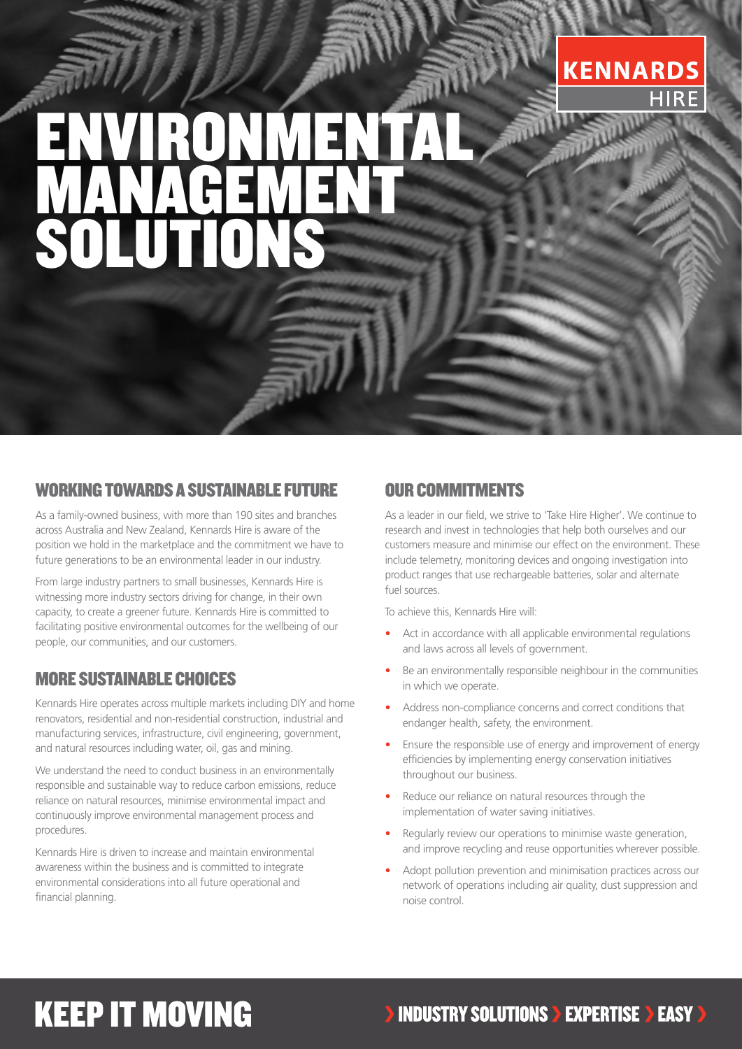# **KENNARDS**

# IRONMENTA MANAGEMENT SOLUTIONS

### WORKING TOWARDS A SUSTAINABLE FUTURE

As a family-owned business, with more than 190 sites and branches across Australia and New Zealand, Kennards Hire is aware of the position we hold in the marketplace and the commitment we have to future generations to be an environmental leader in our industry.

From large industry partners to small businesses, Kennards Hire is witnessing more industry sectors driving for change, in their own capacity, to create a greener future. Kennards Hire is committed to facilitating positive environmental outcomes for the wellbeing of our people, our communities, and our customers.

#### MORE SUSTAINABLE CHOICES

Kennards Hire operates across multiple markets including DIY and home renovators, residential and non-residential construction, industrial and manufacturing services, infrastructure, civil engineering, government, and natural resources including water, oil, gas and mining.

We understand the need to conduct business in an environmentally responsible and sustainable way to reduce carbon emissions, reduce reliance on natural resources, minimise environmental impact and continuously improve environmental management process and procedures.

Kennards Hire is driven to increase and maintain environmental awareness within the business and is committed to integrate environmental considerations into all future operational and financial planning.

### OUR COMMITMENTS

As a leader in our field, we strive to 'Take Hire Higher'. We continue to research and invest in technologies that help both ourselves and our customers measure and minimise our effect on the environment. These include telemetry, monitoring devices and ongoing investigation into product ranges that use rechargeable batteries, solar and alternate fuel sources.

To achieve this, Kennards Hire will:

- Act in accordance with all applicable environmental regulations and laws across all levels of government.
- Be an environmentally responsible neighbour in the communities in which we operate.
- Address non-compliance concerns and correct conditions that endanger health, safety, the environment.
- Ensure the responsible use of energy and improvement of energy efficiencies by implementing energy conservation initiatives throughout our business.
- Reduce our reliance on natural resources through the implementation of water saving initiatives.
- Regularly review our operations to minimise waste generation, and improve recycling and reuse opportunities wherever possible.
- Adopt pollution prevention and minimisation practices across our network of operations including air quality, dust suppression and noise control.

## **KEEP IT MOVING**